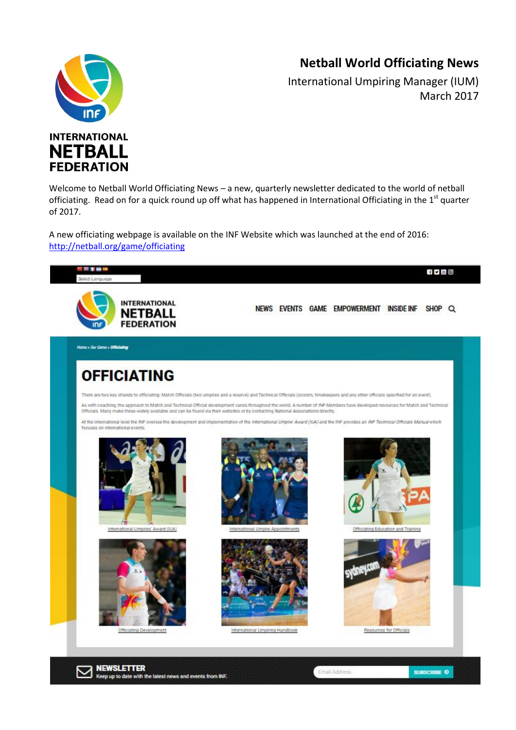## **Netball World Officiating News**

SUBSCRIBE O

Email Addres



International Umpiring Manager (IUM) March 2017



**NEWSLETTER** 

Keep up to date with the latest news and events from INF.

Welcome to Netball World Officiating News – a new, quarterly newsletter dedicated to the world of netball officiating. Read on for a quick round up off what has happened in International Officiating in the  $1<sup>st</sup>$  quarter of 2017.

A new officiating webpage is available on the INF Website which was launched at the end of 2016: <http://netball.org/game/officiating>

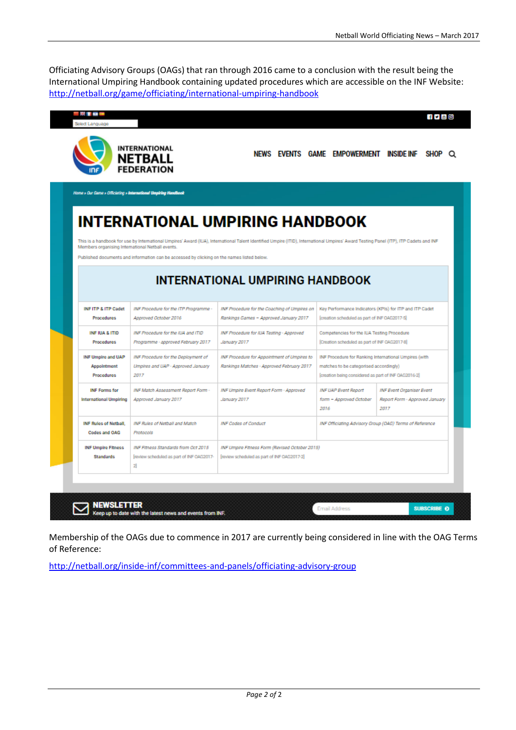Officiating Advisory Groups (OAGs) that ran through 2016 came to a conclusion with the result being the International Umpiring Handbook containing updated procedures which are accessible on the INF Website: <http://netball.org/game/officiating/international-umpiring-handbook>

|                                                               | <b>INTERNATIONAL</b><br><b>NETBALL</b><br><b>FEDERATION</b>                                                                                    | NEWS EVENTS GAME EMPOWERMENT INSIDE INF                                                                                                                                               |                                                                                                                                                         |                                                                                           |
|---------------------------------------------------------------|------------------------------------------------------------------------------------------------------------------------------------------------|---------------------------------------------------------------------------------------------------------------------------------------------------------------------------------------|---------------------------------------------------------------------------------------------------------------------------------------------------------|-------------------------------------------------------------------------------------------|
|                                                               | Home » Our Came » Officiating » International Umpiring Handbook                                                                                |                                                                                                                                                                                       |                                                                                                                                                         |                                                                                           |
|                                                               |                                                                                                                                                | <b>INTERNATIONAL UMPIRING HANDBOOK</b>                                                                                                                                                |                                                                                                                                                         |                                                                                           |
|                                                               | Members organising International Netball events.<br>Published documents and information can be accessed by clicking on the names listed below. | This is a handbook for use by International Umpires' Award (IUA), International Talent identified Umpire (ITID), International Umpires' Award Testing Panel (ITP), ITP Cadets and INF |                                                                                                                                                         |                                                                                           |
|                                                               |                                                                                                                                                | <b>INTERNATIONAL UMPIRING HANDBOOK</b>                                                                                                                                                |                                                                                                                                                         |                                                                                           |
|                                                               |                                                                                                                                                |                                                                                                                                                                                       | Key Performance Indicators (KPIs) for ITP and ITP Cadet<br>[creation scheduled as part of INF OAG2017-5]                                                |                                                                                           |
| INFITP & ITP Cadet<br><b>Procedures</b>                       | INF Procedure for the ITP Programme-<br>Approved October 2016                                                                                  | INF Procedure for the Coaching of Umpires on<br>Rankings Games - Approved January 2017                                                                                                |                                                                                                                                                         |                                                                                           |
| INF IUA & ITID<br><b>Procedures</b>                           | INF Procedure for the ILIA and ITID<br>Programme - approved February 2017                                                                      | INF Procedure for IUA Testing - Approved<br>January 2017                                                                                                                              | Competencies for the IUA Testing Procedure<br>[Creation scheduled as part of INF OAG2017-8]                                                             |                                                                                           |
| <b>INF Umpire and UAP</b><br>Appointment<br><b>Procedures</b> | <b>INF Procedure for the Deployment of</b><br>Umpires and UAP - Approved January<br>2017                                                       | INF Procedure for Appointment of Umpires to<br>Rankings Matches - Approved February 2017                                                                                              | INF Procedure for Ranking International Umpires (with<br>matches to be categorised accordingly)<br>[creation being considered as part of INF 0A62016-2] |                                                                                           |
| <b>INF Forms for</b><br><b>International Umpiring</b>         | <b>INF Match Assessment Report Form -</b><br>Approved January 2017                                                                             | INF Umpire Event Report Form - Approved<br>January 2017                                                                                                                               | <b>INF UAP Event Report</b><br>form - Approved October<br>2016                                                                                          | <b>INF Event Organiser Event</b><br>2017                                                  |
| <b>INF Rules of Netball</b> ,<br>Codes and OAG                | <b>INF Rules of Netball and Match</b><br>Protocols                                                                                             | <b>INF Codes of Conduct</b>                                                                                                                                                           |                                                                                                                                                         | Report Form - Approved January<br>INF Officiating Advisory Group (OAG) Terms of Reference |

Membership of the OAGs due to commence in 2017 are currently being considered in line with the OAG Terms of Reference:

<http://netball.org/inside-inf/committees-and-panels/officiating-advisory-group>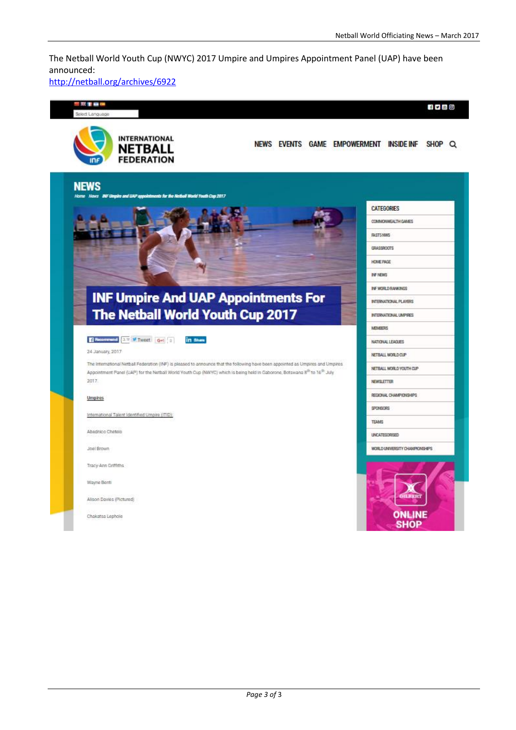The Netball World Youth Cup (NWYC) 2017 Umpire and Umpires Appointment Panel (UAP) have been announced:

<http://netball.org/archives/6922>

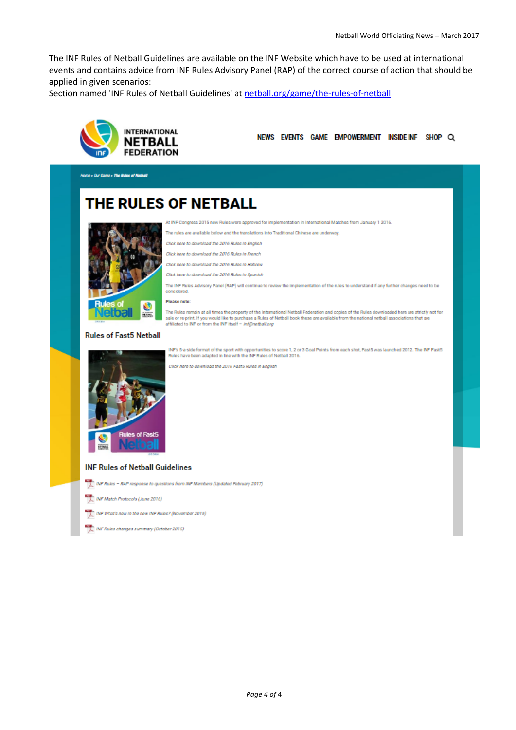The INF Rules of Netball Guidelines are available on the INF Website which have to be used at international events and contains advice from INF Rules Advisory Panel (RAP) of the correct course of action that should be applied in given scenarios:

Section named 'INF Rules of Netball Guidelines' at netball.org/game/the-rules-of-netball



NEWS EVENTS GAME EMPOWERMENT INSIDE INF SHOP Q

Home » Our Came » The Rules of Netball

# **THE RULES OF NETBALL**



INF Congress 2015 new Rules were approved for implementation in International Matches from January 1 2016.

The rules are available below and the translations into Traditional Chinese are underway.

Click here to download the 2016 Rules in English

Click here to download the 2016 Rules in French

Click here to download the 2016 Rules in Hebrew

Click here to download the 2016 Rules in Spanish

The INF Rules Advisory Panel (RAP) will continue to review the implementation of the rules to understand if any further changes need to be considered

#### Please note:



#### The Rules remain at all times the property of the international Netball Federation and copies of the Rules downloaded here are strictly not for

sale or re-print. If you would like to purchase a Rules of Netball book these are available from the national netball associations that are<br>affiliated to NF or from the INF itself - *inf@netball.org* 



INF's 5-a-side format of the sport with opportunities to score 1, 2 or 3 Goal Points from each shot, Fast5 was launched 2012. The INF Fast5<br>Rules have been adapted in line with the INF Rules of Netball 2016.

Click here to download the 2016 Fast5 Rules in English

### **INF Rules of Netball Guidelines**

NF Rules - RAP response to questions from INF Members (Updated February 2017)

INF Match Protocols (June 2016)

INF What's new in the new INF Rules? (November 2015)

INF Rules changes summary (October 2015)